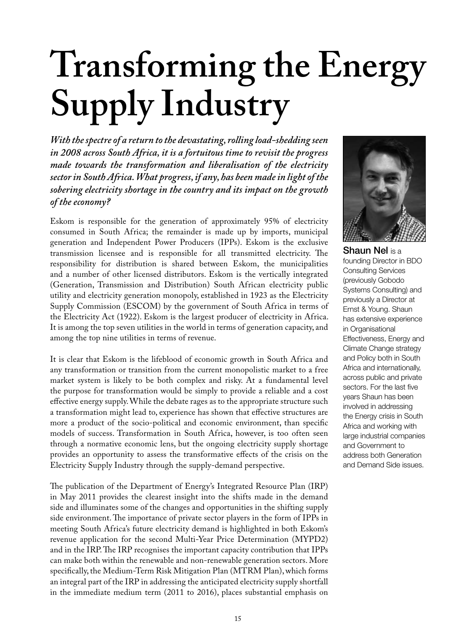# **Transforming the Energy Supply Industry**

*With the spectre of a return to the devastating, rolling load-shedding seen in 2008 across South Africa, it is a fortuitous time to revisit the progress made towards the transformation and liberalisation of the electricity sector in South Africa. What progress, if any, has been made in light of the sobering electricity shortage in the country and its impact on the growth of the economy?*

Eskom is responsible for the generation of approximately 95% of electricity consumed in South Africa; the remainder is made up by imports, municipal generation and Independent Power Producers (IPPs). Eskom is the exclusive transmission licensee and is responsible for all transmitted electricity. The responsibility for distribution is shared between Eskom, the municipalities and a number of other licensed distributors. Eskom is the vertically integrated (Generation, Transmission and Distribution) South African electricity public utility and electricity generation monopoly, established in 1923 as the Electricity Supply Commission (ESCOM) by the government of South Africa in terms of the Electricity Act (1922). Eskom is the largest producer of electricity in Africa. It is among the top seven utilities in the world in terms of generation capacity, and among the top nine utilities in terms of revenue.

It is clear that Eskom is the lifeblood of economic growth in South Africa and any transformation or transition from the current monopolistic market to a free market system is likely to be both complex and risky. At a fundamental level the purpose for transformation would be simply to provide a reliable and a cost effective energy supply. While the debate rages as to the appropriate structure such a transformation might lead to, experience has shown that effective structures are more a product of the socio-political and economic environment, than specific models of success. Transformation in South Africa, however, is too often seen through a normative economic lens, but the ongoing electricity supply shortage provides an opportunity to assess the transformative effects of the crisis on the Electricity Supply Industry through the supply-demand perspective.

The publication of the Department of Energy's Integrated Resource Plan (IRP) in May 2011 provides the clearest insight into the shifts made in the demand side and illuminates some of the changes and opportunities in the shifting supply side environment. The importance of private sector players in the form of IPPs in meeting South Africa's future electricity demand is highlighted in both Eskom's revenue application for the second Multi-Year Price Determination (MYPD2) and in the IRP. The IRP recognises the important capacity contribution that IPPs can make both within the renewable and non-renewable generation sectors. More specifically, the Medium-Term Risk Mitigation Plan (MTRM Plan), which forms an integral part of the IRP in addressing the anticipated electricity supply shortfall in the immediate medium term (2011 to 2016), places substantial emphasis on



Shaun Nel is a founding Director in BDO Consulting Services (previously Gobodo Systems Consulting) and previously a Director at Ernst & Young. Shaun has extensive experience in Organisational Effectiveness, Energy and Climate Change strategy and Policy both in South Africa and internationally, across public and private sectors. For the last five years Shaun has been involved in addressing the Energy crisis in South Africa and working with large industrial companies and Government to address both Generation and Demand Side issues.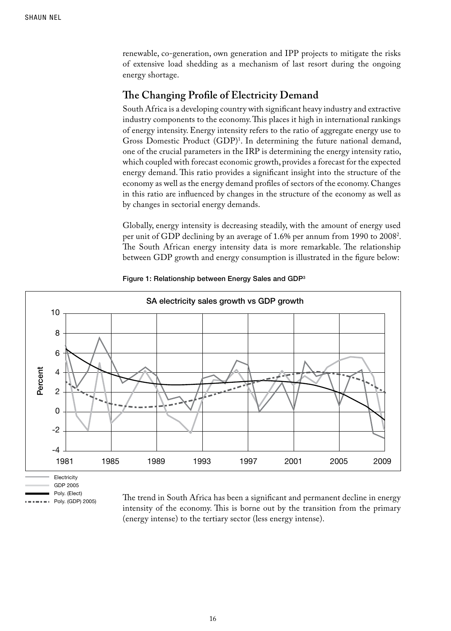renewable, co-generation, own generation and IPP projects to mitigate the risks of extensive load shedding as a mechanism of last resort during the ongoing energy shortage.

## **The Changing Profile of Electricity Demand**

South Africa is a developing country with significant heavy industry and extractive industry components to the economy. This places it high in international rankings of energy intensity. Energy intensity refers to the ratio of aggregate energy use to Gross Domestic Product (GDP)<sup>1</sup>. In determining the future national demand, one of the crucial parameters in the IRP is determining the energy intensity ratio, which coupled with forecast economic growth, provides a forecast for the expected energy demand. This ratio provides a significant insight into the structure of the economy as well as the energy demand profiles of sectors of the economy. Changes in this ratio are influenced by changes in the structure of the economy as well as by changes in sectorial energy demands.

Globally, energy intensity is decreasing steadily, with the amount of energy used per unit of GDP declining by an average of 1.6% per annum from 1990 to 20082 . The South African energy intensity data is more remarkable. The relationship between GDP growth and energy consumption is illustrated in the figure below:



Figure 1: Relationship between Energy Sales and GDP<sup>3</sup>

Poly. (Elect)  $=$  Poly. (GDP) 2005)

The trend in South Africa has been a significant and permanent decline in energy intensity of the economy. This is borne out by the transition from the primary (energy intense) to the tertiary sector (less energy intense).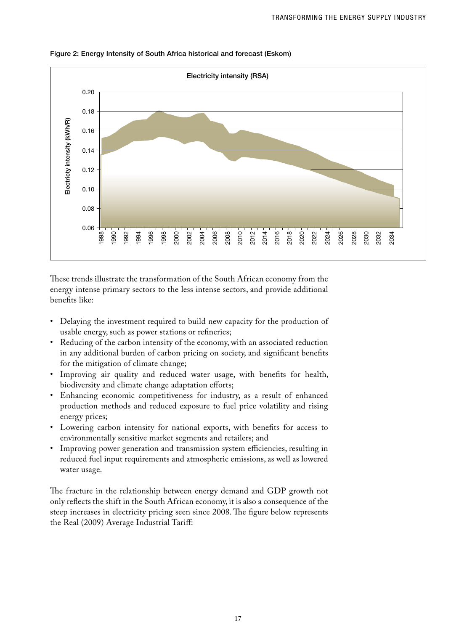

Figure 2: Energy Intensity of South Africa historical and forecast (Eskom)

These trends illustrate the transformation of the South African economy from the energy intense primary sectors to the less intense sectors, and provide additional benefits like:

- Delaying the investment required to build new capacity for the production of usable energy, such as power stations or refineries;
- Reducing of the carbon intensity of the economy, with an associated reduction in any additional burden of carbon pricing on society, and significant benefits for the mitigation of climate change;
- • Improving air quality and reduced water usage, with benefits for health, biodiversity and climate change adaptation efforts;
- • Enhancing economic competitiveness for industry, as a result of enhanced production methods and reduced exposure to fuel price volatility and rising energy prices;
- Lowering carbon intensity for national exports, with benefits for access to environmentally sensitive market segments and retailers; and
- • Improving power generation and transmission system efficiencies, resulting in reduced fuel input requirements and atmospheric emissions, as well as lowered water usage.

The fracture in the relationship between energy demand and GDP growth not only reflects the shift in the South African economy, it is also a consequence of the steep increases in electricity pricing seen since 2008. The figure below represents the Real (2009) Average Industrial Tariff: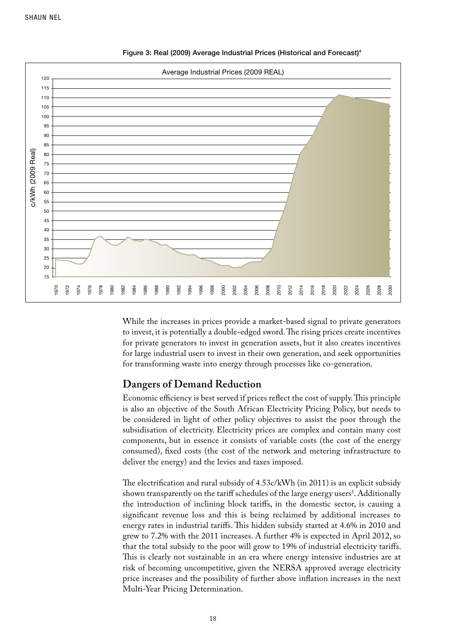

#### Figure 3: Real (2009) Average Industrial Prices (Historical and Forecast)4

While the increases in prices provide a market-based signal to private generators to invest, it is potentially a double-edged sword. The rising prices create incentives for private generators to invest in generation assets, but it also creates incentives for large industrial users to invest in their own generation, and seek opportunities for transforming waste into energy through processes like co-generation.

### **Dangers of Demand Reduction**

Economic efficiency is best served if prices reflect the cost of supply. This principle is also an objective of the South African Electricity Pricing Policy, but needs to be considered in light of other policy objectives to assist the poor through the subsidisation of electricity. Electricity prices are complex and contain many cost components, but in essence it consists of variable costs (the cost of the energy consumed), fixed costs (the cost of the network and metering infrastructure to deliver the energy) and the levies and taxes imposed.

The electrification and rural subsidy of 4.53c/kWh (in 2011) is an explicit subsidy shown transparently on the tariff schedules of the large energy users<sup>5</sup>. Additionally the introduction of inclining block tariffs, in the domestic sector, is causing a significant revenue loss and this is being reclaimed by additional increases to energy rates in industrial tariffs. This hidden subsidy started at 4.6% in 2010 and grew to 7.2% with the 2011 increases. A further 4% is expected in April 2012, so that the total subsidy to the poor will grow to 19% of industrial electricity tariffs. This is clearly not sustainable in an era where energy intensive industries are at risk of becoming uncompetitive, given the NERSA approved average electricity price increases and the possibility of further above inflation increases in the next Multi-Year Pricing Determination.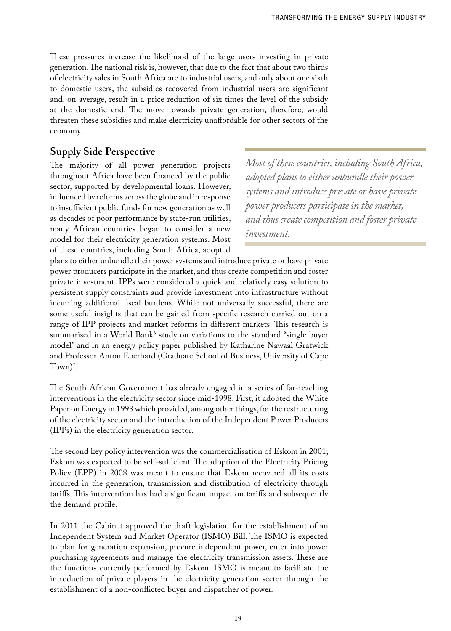These pressures increase the likelihood of the large users investing in private generation. The national risk is, however, that due to the fact that about two thirds of electricity sales in South Africa are to industrial users, and only about one sixth to domestic users, the subsidies recovered from industrial users are significant and, on average, result in a price reduction of six times the level of the subsidy at the domestic end. The move towards private generation, therefore, would threaten these subsidies and make electricity unaffordable for other sectors of the economy.

# **Supply Side Perspective**

The majority of all power generation projects throughout Africa have been financed by the public sector, supported by developmental loans. However, influenced by reforms across the globe and in response to insufficient public funds for new generation as well as decades of poor performance by state-run utilities, many African countries began to consider a new model for their electricity generation systems. Most of these countries, including South Africa, adopted

*Most of these countries, including South Africa, adopted plans to either unbundle their power systems and introduce private or have private power producers participate in the market, and thus create competition and foster private investment.*

plans to either unbundle their power systems and introduce private or have private power producers participate in the market, and thus create competition and foster private investment. IPPs were considered a quick and relatively easy solution to persistent supply constraints and provide investment into infrastructure without incurring additional fiscal burdens. While not universally successful, there are some useful insights that can be gained from specific research carried out on a range of IPP projects and market reforms in different markets. This research is summarised in a World Bank<sup>6</sup> study on variations to the standard "single buyer model" and in an energy policy paper published by Katharine Nawaal Gratwick and Professor Anton Eberhard (Graduate School of Business, University of Cape Town $)^7$ .

The South African Government has already engaged in a series of far-reaching interventions in the electricity sector since mid-1998. First, it adopted the White Paper on Energy in 1998 which provided, among other things, for the restructuring of the electricity sector and the introduction of the Independent Power Producers (IPPs) in the electricity generation sector.

The second key policy intervention was the commercialisation of Eskom in 2001; Eskom was expected to be self-sufficient. The adoption of the Electricity Pricing Policy (EPP) in 2008 was meant to ensure that Eskom recovered all its costs incurred in the generation, transmission and distribution of electricity through tariffs. This intervention has had a significant impact on tariffs and subsequently the demand profile.

In 2011 the Cabinet approved the draft legislation for the establishment of an Independent System and Market Operator (ISMO) Bill. The ISMO is expected to plan for generation expansion, procure independent power, enter into power purchasing agreements and manage the electricity transmission assets. These are the functions currently performed by Eskom. ISMO is meant to facilitate the introduction of private players in the electricity generation sector through the establishment of a non-conflicted buyer and dispatcher of power.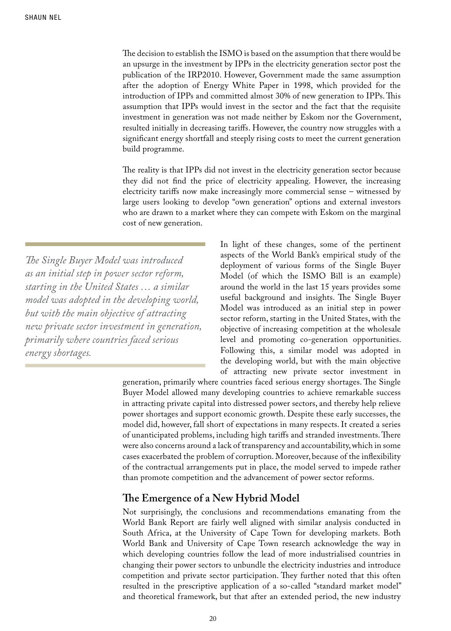The decision to establish the ISMO is based on the assumption that there would be an upsurge in the investment by IPPs in the electricity generation sector post the publication of the IRP2010. However, Government made the same assumption after the adoption of Energy White Paper in 1998, which provided for the introduction of IPPs and committed almost 30% of new generation to IPPs. This assumption that IPPs would invest in the sector and the fact that the requisite investment in generation was not made neither by Eskom nor the Government, resulted initially in decreasing tariffs. However, the country now struggles with a significant energy shortfall and steeply rising costs to meet the current generation build programme.

The reality is that IPPs did not invest in the electricity generation sector because they did not find the price of electricity appealing. However, the increasing electricity tariffs now make increasingly more commercial sense – witnessed by large users looking to develop "own generation" options and external investors who are drawn to a market where they can compete with Eskom on the marginal cost of new generation.

*The Single Buyer Model was introduced as an initial step in power sector reform, starting in the United States … a similar model was adopted in the developing world, but with the main objective of attracting new private sector investment in generation, primarily where countries faced serious energy shortages.* 

In light of these changes, some of the pertinent aspects of the World Bank's empirical study of the deployment of various forms of the Single Buyer Model (of which the ISMO Bill is an example) around the world in the last 15 years provides some useful background and insights. The Single Buyer Model was introduced as an initial step in power sector reform, starting in the United States, with the objective of increasing competition at the wholesale level and promoting co-generation opportunities. Following this, a similar model was adopted in the developing world, but with the main objective of attracting new private sector investment in

generation, primarily where countries faced serious energy shortages. The Single Buyer Model allowed many developing countries to achieve remarkable success in attracting private capital into distressed power sectors, and thereby help relieve power shortages and support economic growth. Despite these early successes, the model did, however, fall short of expectations in many respects. It created a series of unanticipated problems, including high tariffs and stranded investments. There were also concerns around a lack of transparency and accountability, which in some cases exacerbated the problem of corruption. Moreover, because of the inflexibility of the contractual arrangements put in place, the model served to impede rather than promote competition and the advancement of power sector reforms.

### **The Emergence of a New Hybrid Model**

Not surprisingly, the conclusions and recommendations emanating from the World Bank Report are fairly well aligned with similar analysis conducted in South Africa, at the University of Cape Town for developing markets. Both World Bank and University of Cape Town research acknowledge the way in which developing countries follow the lead of more industrialised countries in changing their power sectors to unbundle the electricity industries and introduce competition and private sector participation. They further noted that this often resulted in the prescriptive application of a so-called "standard market model" and theoretical framework, but that after an extended period, the new industry